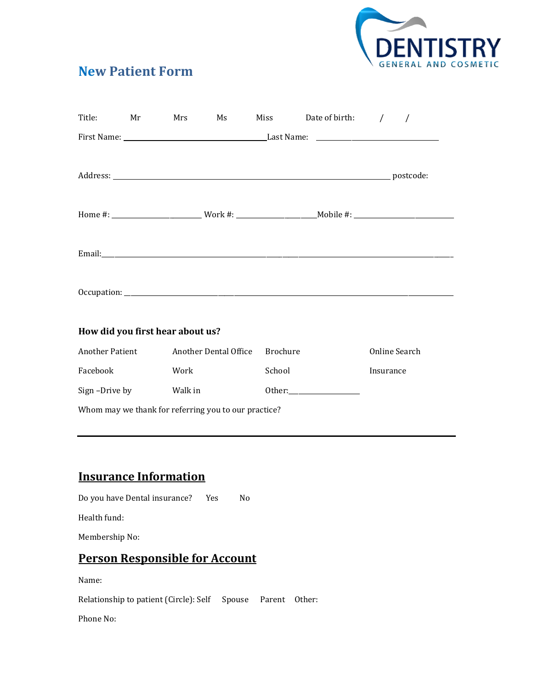

## **New Patient Form**

|                                  |  | Title: Mr Mrs Ms                               | Miss Date of birth: / / |               |
|----------------------------------|--|------------------------------------------------|-------------------------|---------------|
|                                  |  |                                                |                         |               |
|                                  |  |                                                |                         |               |
|                                  |  |                                                |                         |               |
|                                  |  |                                                |                         |               |
|                                  |  |                                                |                         |               |
| How did you first hear about us? |  |                                                |                         |               |
|                                  |  | Another Patient Another Dental Office Brochure |                         | Online Search |

| Another Patient                                      | Another Dental Office | <b>Brochure</b>                                                                                                                                                                                                                | Online Search |  |  |
|------------------------------------------------------|-----------------------|--------------------------------------------------------------------------------------------------------------------------------------------------------------------------------------------------------------------------------|---------------|--|--|
| Facebook                                             | Work                  | School                                                                                                                                                                                                                         | Insurance     |  |  |
| Sign-Drive by                                        | Walk in               | Other: the contract of the contract of the contract of the contract of the contract of the contract of the contract of the contract of the contract of the contract of the contract of the contract of the contract of the con |               |  |  |
| Whom may we thank for referring you to our practice? |                       |                                                                                                                                                                                                                                |               |  |  |

## **Insurance Information**

Do you have Dental insurance? Yes No

Health fund:

Membership No:

# **Person Responsible for Account**

Name:

Relationship to patient (Circle): Self Spouse Parent Other:

Phone No: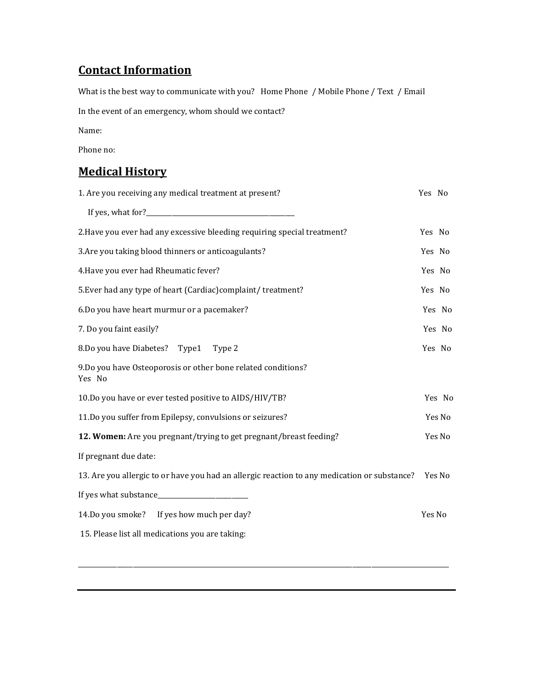### **Contact Information**

What is the best way to communicate with you? Home Phone / Mobile Phone / Text / Email In the event of an emergency, whom should we contact? Name: Phone no: **Medical History** 1. Are you receiving any medical treatment at present? Yes No

| 2. Have you ever had any excessive bleeding requiring special treatment?                            | Yes No |        |
|-----------------------------------------------------------------------------------------------------|--------|--------|
| 3. Are you taking blood thinners or anticoagulants?                                                 | Yes No |        |
| 4. Have you ever had Rheumatic fever?                                                               | Yes No |        |
| 5. Ever had any type of heart (Cardiac) complaint/ treatment?                                       | Yes No |        |
| 6.Do you have heart murmur or a pacemaker?                                                          |        | Yes No |
| 7. Do you faint easily?                                                                             |        | Yes No |
| 8.Do you have Diabetes? Type1<br>Type 2                                                             |        | Yes No |
| 9. Do you have Osteoporosis or other bone related conditions?<br>Yes No                             |        |        |
| 10.Do you have or ever tested positive to AIDS/HIV/TB?                                              |        | Yes No |
| 11.Do you suffer from Epilepsy, convulsions or seizures?                                            |        | Yes No |
| 12. Women: Are you pregnant/trying to get pregnant/breast feeding?                                  |        | Yes No |
| If pregnant due date:                                                                               |        |        |
| 13. Are you allergic to or have you had an allergic reaction to any medication or substance? Yes No |        |        |
|                                                                                                     |        |        |
| 14.Do you smoke? If yes how much per day?                                                           | Yes No |        |
| 15. Please list all medications you are taking:                                                     |        |        |
|                                                                                                     |        |        |

\_\_\_\_\_\_\_\_\_\_\_\_\_\_\_\_\_\_\_\_\_\_\_\_\_\_\_\_\_\_\_\_\_\_\_\_\_\_\_\_\_\_\_\_\_\_\_\_\_\_\_\_\_\_\_\_\_\_\_\_\_\_\_\_\_\_\_\_\_\_\_\_\_\_\_\_\_\_\_\_\_\_\_\_\_\_\_\_\_\_\_\_\_\_\_\_\_\_\_\_\_\_\_\_\_\_\_\_\_\_\_\_\_\_\_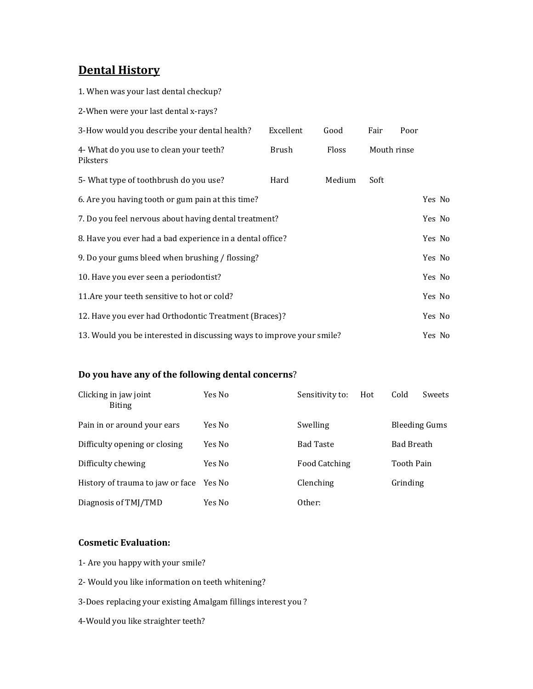### **Dental History**

1. When was your last dental checkup?

2-When were your last dental x-rays?

| 3-How would you describe your dental health?                          | Excellent | Good   | Fair        | Poor   |
|-----------------------------------------------------------------------|-----------|--------|-------------|--------|
| 4- What do you use to clean your teeth?<br>Piksters                   | Brush     | Floss  | Mouth rinse |        |
| 5- What type of toothbrush do you use?                                | Hard      | Medium | Soft        |        |
| 6. Are you having tooth or gum pain at this time?                     |           |        |             | Yes No |
| 7. Do you feel nervous about having dental treatment?                 |           |        |             | Yes No |
| 8. Have you ever had a bad experience in a dental office?             |           |        |             | Yes No |
| 9. Do your gums bleed when brushing / flossing?                       |           |        |             | Yes No |
| 10. Have you ever seen a periodontist?                                |           |        |             | Yes No |
| 11. Are your teeth sensitive to hot or cold?                          |           |        |             | Yes No |
| 12. Have you ever had Orthodontic Treatment (Braces)?                 |           |        |             | Yes No |
| 13. Would you be interested in discussing ways to improve your smile? |           |        |             | Yes No |

#### **Do you have any of the following dental concerns**?

| Clicking in jaw joint<br><b>Biting</b>  | Yes No | Sensitivity to:<br>Hot | Cold<br>Sweets    |
|-----------------------------------------|--------|------------------------|-------------------|
| Pain in or around your ears             | Yes No | Swelling               | Bleeding Gums     |
| Difficulty opening or closing           | Yes No | <b>Bad Taste</b>       | <b>Bad Breath</b> |
| Difficulty chewing                      | Yes No | Food Catching          | <b>Tooth Pain</b> |
| History of trauma to jaw or face Yes No |        | Clenching              | Grinding          |
| Diagnosis of TMJ/TMD                    | Yes No | Other:                 |                   |

#### **Cosmetic Evaluation:**

- 1- Are you happy with your smile?
- 2- Would you like information on teeth whitening?
- 3-Does replacing your existing Amalgam fillings interest you ?
- 4-Would you like straighter teeth?